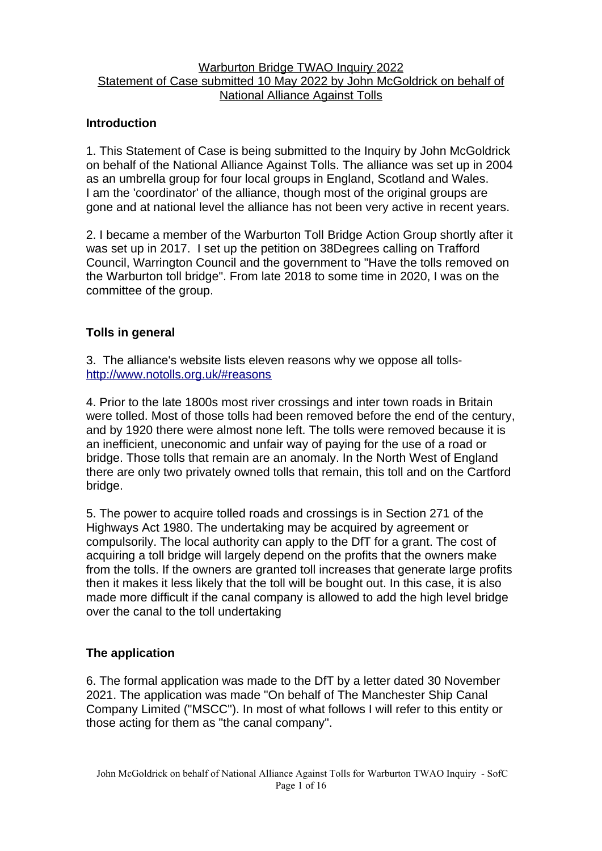### Warburton Bridge TWAO Inquiry 2022 Statement of Case submitted 10 May 2022 by John McGoldrick on behalf of National Alliance Against Tolls

# **Introduction**

1. This Statement of Case is being submitted to the Inquiry by John McGoldrick on behalf of the National Alliance Against Tolls. The alliance was set up in 2004 as an umbrella group for four local groups in England, Scotland and Wales. I am the 'coordinator' of the alliance, though most of the original groups are gone and at national level the alliance has not been very active in recent years.

2. I became a member of the Warburton Toll Bridge Action Group shortly after it was set up in 2017. I set up the petition on 38Degrees calling on Trafford Council, Warrington Council and the government to "Have the tolls removed on the Warburton toll bridge". From late 2018 to some time in 2020, I was on the committee of the group.

# **Tolls in general**

3. The alliance's website lists eleven reasons why we oppose all tolls<http://www.notolls.org.uk/#reasons>

4. Prior to the late 1800s most river crossings and inter town roads in Britain were tolled. Most of those tolls had been removed before the end of the century, and by 1920 there were almost none left. The tolls were removed because it is an inefficient, uneconomic and unfair way of paying for the use of a road or bridge. Those tolls that remain are an anomaly. In the North West of England there are only two privately owned tolls that remain, this toll and on the Cartford bridge.

5. The power to acquire tolled roads and crossings is in Section 271 of the Highways Act 1980. The undertaking may be acquired by agreement or compulsorily. The local authority can apply to the DfT for a grant. The cost of acquiring a toll bridge will largely depend on the profits that the owners make from the tolls. If the owners are granted toll increases that generate large profits then it makes it less likely that the toll will be bought out. In this case, it is also made more difficult if the canal company is allowed to add the high level bridge over the canal to the toll undertaking

# **The application**

6. The formal application was made to the DfT by a letter dated 30 November 2021. The application was made "On behalf of The Manchester Ship Canal Company Limited ("MSCC"). In most of what follows I will refer to this entity or those acting for them as "the canal company".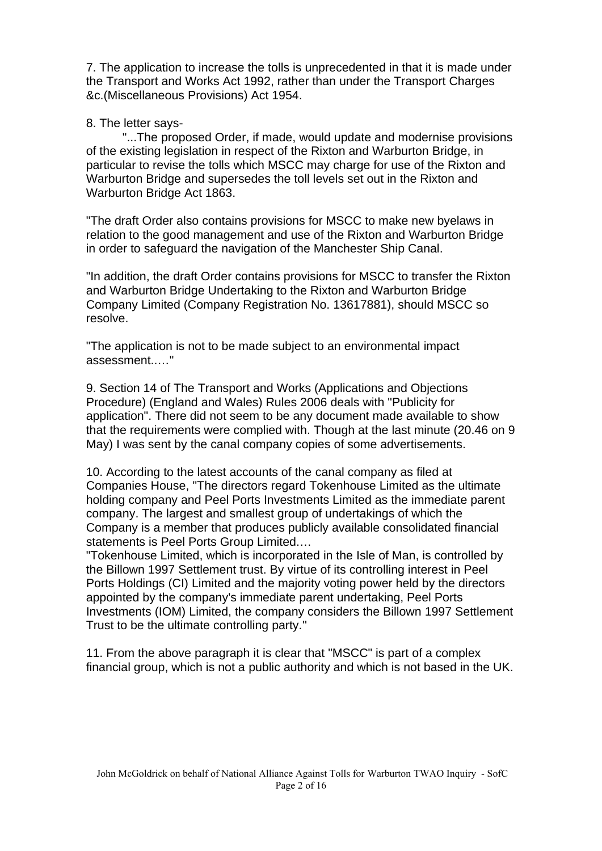7. The application to increase the tolls is unprecedented in that it is made under the Transport and Works Act 1992, rather than under the Transport Charges &c.(Miscellaneous Provisions) Act 1954.

### 8. The letter says-

"...The proposed Order, if made, would update and modernise provisions of the existing legislation in respect of the Rixton and Warburton Bridge, in particular to revise the tolls which MSCC may charge for use of the Rixton and Warburton Bridge and supersedes the toll levels set out in the Rixton and Warburton Bridge Act 1863.

"The draft Order also contains provisions for MSCC to make new byelaws in relation to the good management and use of the Rixton and Warburton Bridge in order to safeguard the navigation of the Manchester Ship Canal.

"In addition, the draft Order contains provisions for MSCC to transfer the Rixton and Warburton Bridge Undertaking to the Rixton and Warburton Bridge Company Limited (Company Registration No. 13617881), should MSCC so resolve.

"The application is not to be made subject to an environmental impact assessment..…"

9. Section 14 of The Transport and Works (Applications and Objections Procedure) (England and Wales) Rules 2006 deals with "Publicity for application". There did not seem to be any document made available to show that the requirements were complied with. Though at the last minute (20.46 on 9 May) I was sent by the canal company copies of some advertisements.

10. According to the latest accounts of the canal company as filed at Companies House, "The directors regard Tokenhouse Limited as the ultimate holding company and Peel Ports Investments Limited as the immediate parent company. The largest and smallest group of undertakings of which the Company is a member that produces publicly available consolidated financial statements is Peel Ports Group Limited.…

"Tokenhouse Limited, which is incorporated in the Isle of Man, is controlled by the Billown 1997 Settlement trust. By virtue of its controlling interest in Peel Ports Holdings (CI) Limited and the majority voting power held by the directors appointed by the company's immediate parent undertaking, Peel Ports Investments (IOM) Limited, the company considers the Billown 1997 Settlement Trust to be the ultimate controlling party*.*"

11. From the above paragraph it is clear that "MSCC" is part of a complex financial group, which is not a public authority and which is not based in the UK.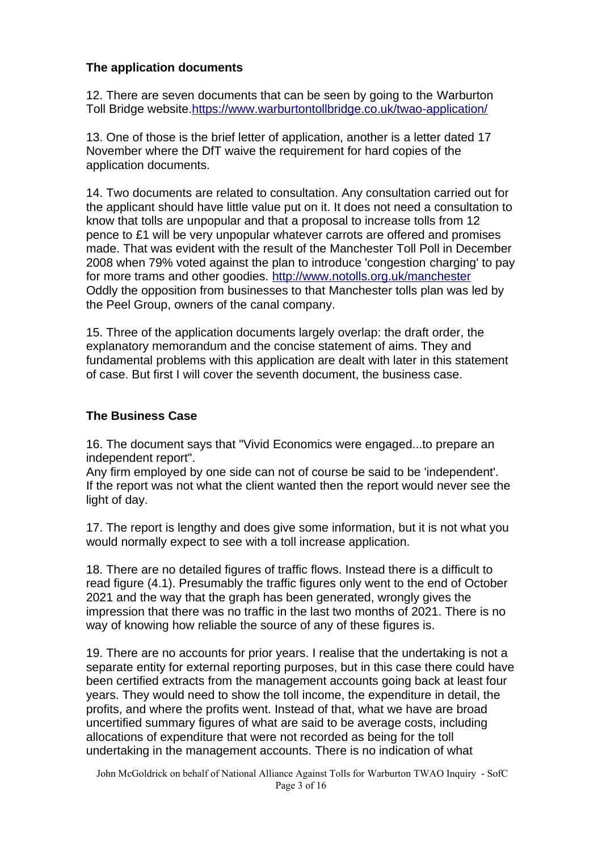# **The application documents**

12. There are seven documents that can be seen by going to the Warburton Toll Bridge website.<https://www.warburtontollbridge.co.uk/twao-application/>

13. One of those is the brief letter of application, another is a letter dated 17 November where the DfT waive the requirement for hard copies of the application documents.

14. Two documents are related to consultation. Any consultation carried out for the applicant should have little value put on it. It does not need a consultation to know that tolls are unpopular and that a proposal to increase tolls from 12 pence to £1 will be very unpopular whatever carrots are offered and promises made. That was evident with the result of the Manchester Toll Poll in December 2008 when 79% voted against the plan to introduce 'congestion charging' to pay for more trams and other goodies. <http://www.notolls.org.uk/manchester> Oddly the opposition from businesses to that Manchester tolls plan was led by the Peel Group, owners of the canal company.

15. Three of the application documents largely overlap: the draft order, the explanatory memorandum and the concise statement of aims. They and fundamental problems with this application are dealt with later in this statement of case. But first I will cover the seventh document, the business case.

# **The Business Case**

16. The document says that "Vivid Economics were engaged...to prepare an independent report".

Any firm employed by one side can not of course be said to be 'independent'. If the report was not what the client wanted then the report would never see the light of day.

17. The report is lengthy and does give some information, but it is not what you would normally expect to see with a toll increase application.

18. There are no detailed figures of traffic flows. Instead there is a difficult to read figure (4.1). Presumably the traffic figures only went to the end of October 2021 and the way that the graph has been generated, wrongly gives the impression that there was no traffic in the last two months of 2021. There is no way of knowing how reliable the source of any of these figures is.

19. There are no accounts for prior years. I realise that the undertaking is not a separate entity for external reporting purposes, but in this case there could have been certified extracts from the management accounts going back at least four years. They would need to show the toll income, the expenditure in detail, the profits, and where the profits went. Instead of that, what we have are broad uncertified summary figures of what are said to be average costs, including allocations of expenditure that were not recorded as being for the toll undertaking in the management accounts. There is no indication of what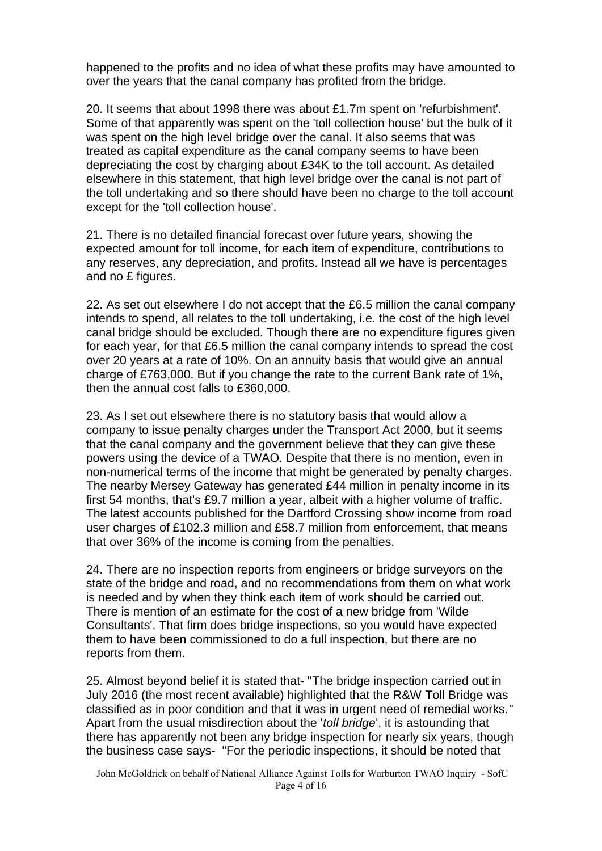happened to the profits and no idea of what these profits may have amounted to over the years that the canal company has profited from the bridge.

20. It seems that about 1998 there was about £1.7m spent on 'refurbishment'. Some of that apparently was spent on the 'toll collection house' but the bulk of it was spent on the high level bridge over the canal. It also seems that was treated as capital expenditure as the canal company seems to have been depreciating the cost by charging about £34K to the toll account. As detailed elsewhere in this statement, that high level bridge over the canal is not part of the toll undertaking and so there should have been no charge to the toll account except for the 'toll collection house'.

21. There is no detailed financial forecast over future years, showing the expected amount for toll income, for each item of expenditure, contributions to any reserves, any depreciation, and profits. Instead all we have is percentages and no £ figures.

22. As set out elsewhere I do not accept that the £6.5 million the canal company intends to spend, all relates to the toll undertaking, i.e. the cost of the high level canal bridge should be excluded. Though there are no expenditure figures given for each year, for that £6.5 million the canal company intends to spread the cost over 20 years at a rate of 10%. On an annuity basis that would give an annual charge of £763,000. But if you change the rate to the current Bank rate of 1%, then the annual cost falls to £360,000.

23. As I set out elsewhere there is no statutory basis that would allow a company to issue penalty charges under the Transport Act 2000, but it seems that the canal company and the government believe that they can give these powers using the device of a TWAO. Despite that there is no mention, even in non-numerical terms of the income that might be generated by penalty charges. The nearby Mersey Gateway has generated £44 million in penalty income in its first 54 months, that's £9.7 million a year, albeit with a higher volume of traffic. The latest accounts published for the Dartford Crossing show income from road user charges of £102.3 million and £58.7 million from enforcement, that means that over 36% of the income is coming from the penalties.

24. There are no inspection reports from engineers or bridge surveyors on the state of the bridge and road, and no recommendations from them on what work is needed and by when they think each item of work should be carried out. There is mention of an estimate for the cost of a new bridge from 'Wilde Consultants'. That firm does bridge inspections, so you would have expected them to have been commissioned to do a full inspection, but there are no reports from them.

25. Almost beyond belief it is stated that- "The bridge inspection carried out in July 2016 (the most recent available) highlighted that the R&W Toll Bridge was classified as in poor condition and that it was in urgent need of remedial works." Apart from the usual misdirection about the '*toll bridge*', it is astounding that there has apparently not been any bridge inspection for nearly six years, though the business case says- "For the periodic inspections, it should be noted that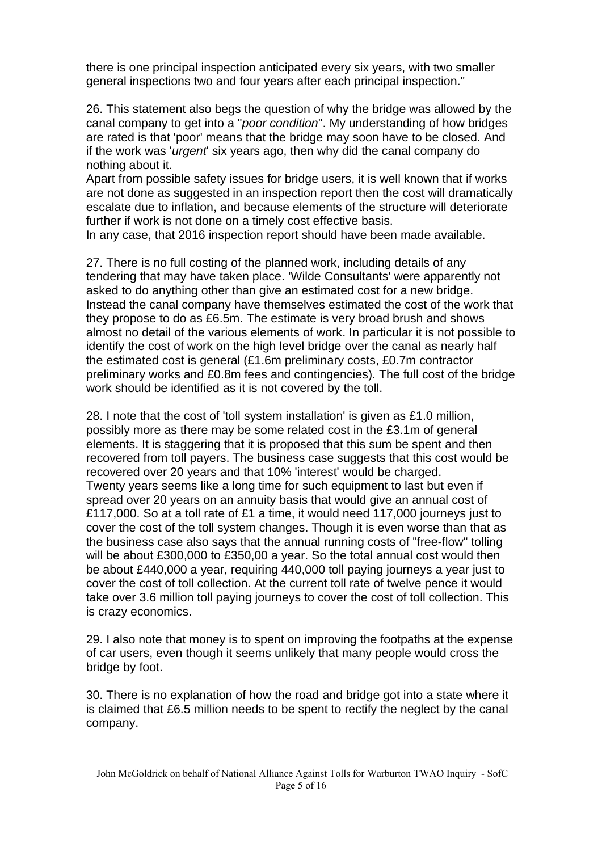there is one principal inspection anticipated every six years, with two smaller general inspections two and four years after each principal inspection."

26. This statement also begs the question of why the bridge was allowed by the canal company to get into a "*poor condition*". My understanding of how bridges are rated is that 'poor' means that the bridge may soon have to be closed. And if the work was '*urgent*' six years ago, then why did the canal company do nothing about it.

Apart from possible safety issues for bridge users, it is well known that if works are not done as suggested in an inspection report then the cost will dramatically escalate due to inflation, and because elements of the structure will deteriorate further if work is not done on a timely cost effective basis.

In any case, that 2016 inspection report should have been made available.

27. There is no full costing of the planned work, including details of any tendering that may have taken place. 'Wilde Consultants' were apparently not asked to do anything other than give an estimated cost for a new bridge. Instead the canal company have themselves estimated the cost of the work that they propose to do as £6.5m. The estimate is very broad brush and shows almost no detail of the various elements of work. In particular it is not possible to identify the cost of work on the high level bridge over the canal as nearly half the estimated cost is general (£1.6m preliminary costs, £0.7m contractor preliminary works and £0.8m fees and contingencies). The full cost of the bridge work should be identified as it is not covered by the toll.

28. I note that the cost of 'toll system installation' is given as £1.0 million, possibly more as there may be some related cost in the £3.1m of general elements. It is staggering that it is proposed that this sum be spent and then recovered from toll payers. The business case suggests that this cost would be recovered over 20 years and that 10% 'interest' would be charged. Twenty years seems like a long time for such equipment to last but even if spread over 20 years on an annuity basis that would give an annual cost of £117,000. So at a toll rate of £1 a time, it would need 117,000 journeys just to cover the cost of the toll system changes. Though it is even worse than that as the business case also says that the annual running costs of "free-flow" tolling will be about £300,000 to £350,00 a year. So the total annual cost would then be about £440,000 a year, requiring 440,000 toll paying journeys a year just to cover the cost of toll collection. At the current toll rate of twelve pence it would take over 3.6 million toll paying journeys to cover the cost of toll collection. This is crazy economics.

29. I also note that money is to spent on improving the footpaths at the expense of car users, even though it seems unlikely that many people would cross the bridge by foot.

30. There is no explanation of how the road and bridge got into a state where it is claimed that £6.5 million needs to be spent to rectify the neglect by the canal company.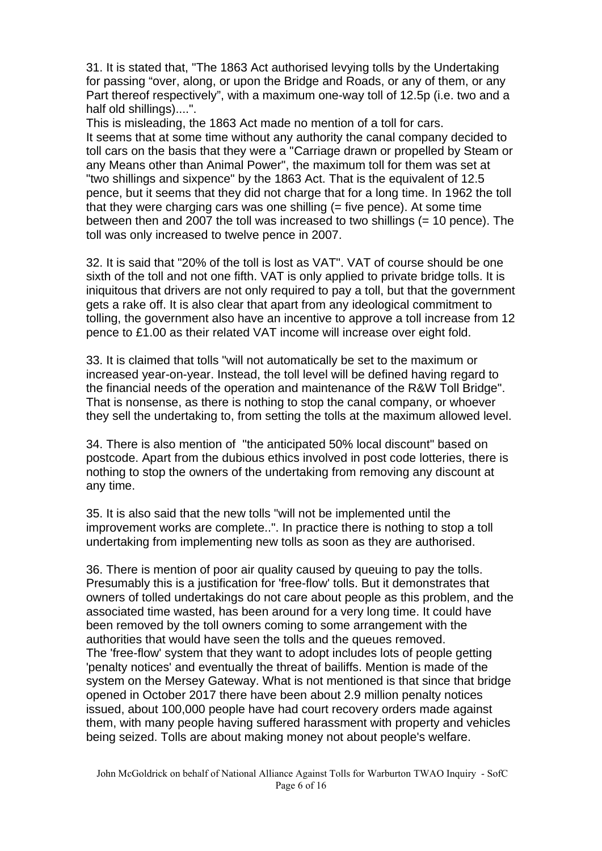31. It is stated that, "The 1863 Act authorised levying tolls by the Undertaking for passing "over, along, or upon the Bridge and Roads, or any of them, or any Part thereof respectively", with a maximum one-way toll of 12.5p (i.e. two and a half old shillings)....".

This is misleading, the 1863 Act made no mention of a toll for cars. It seems that at some time without any authority the canal company decided to toll cars on the basis that they were a "Carriage drawn or propelled by Steam or any Means other than Animal Power", the maximum toll for them was set at "two shillings and sixpence" by the 1863 Act. That is the equivalent of 12.5 pence, but it seems that they did not charge that for a long time. In 1962 the toll that they were charging cars was one shilling (= five pence). At some time between then and 2007 the toll was increased to two shillings (= 10 pence). The toll was only increased to twelve pence in 2007.

32. It is said that "20% of the toll is lost as VAT". VAT of course should be one sixth of the toll and not one fifth. VAT is only applied to private bridge tolls. It is iniquitous that drivers are not only required to pay a toll, but that the government gets a rake off. It is also clear that apart from any ideological commitment to tolling, the government also have an incentive to approve a toll increase from 12 pence to £1.00 as their related VAT income will increase over eight fold.

33. It is claimed that tolls "will not automatically be set to the maximum or increased year-on-year. Instead, the toll level will be defined having regard to the financial needs of the operation and maintenance of the R&W Toll Bridge". That is nonsense, as there is nothing to stop the canal company, or whoever they sell the undertaking to, from setting the tolls at the maximum allowed level.

34. There is also mention of "the anticipated 50% local discount" based on postcode. Apart from the dubious ethics involved in post code lotteries, there is nothing to stop the owners of the undertaking from removing any discount at any time.

35. It is also said that the new tolls "will not be implemented until the improvement works are complete..". In practice there is nothing to stop a toll undertaking from implementing new tolls as soon as they are authorised.

36. There is mention of poor air quality caused by queuing to pay the tolls. Presumably this is a justification for 'free-flow' tolls. But it demonstrates that owners of tolled undertakings do not care about people as this problem, and the associated time wasted, has been around for a very long time. It could have been removed by the toll owners coming to some arrangement with the authorities that would have seen the tolls and the queues removed. The 'free-flow' system that they want to adopt includes lots of people getting 'penalty notices' and eventually the threat of bailiffs. Mention is made of the system on the Mersey Gateway. What is not mentioned is that since that bridge opened in October 2017 there have been about 2.9 million penalty notices issued, about 100,000 people have had court recovery orders made against them, with many people having suffered harassment with property and vehicles being seized. Tolls are about making money not about people's welfare.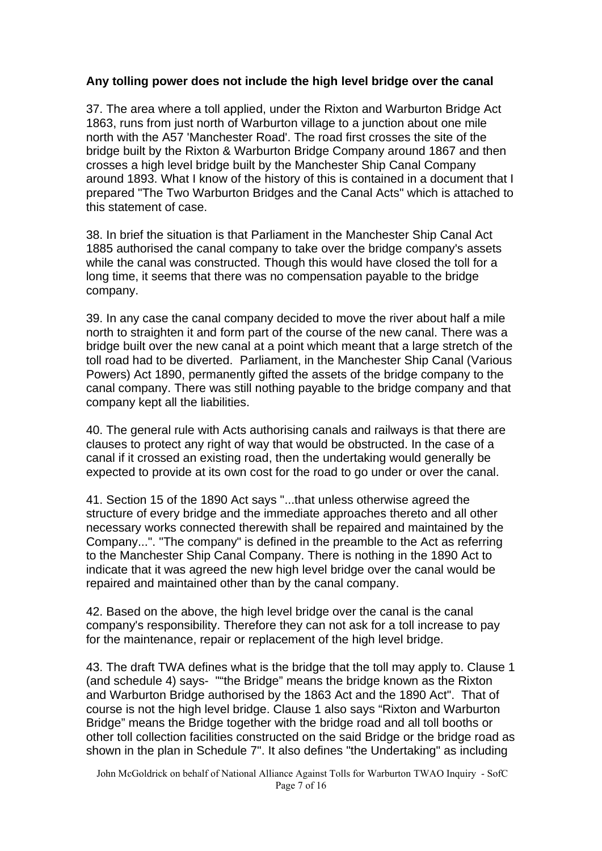# **Any tolling power does not include the high level bridge over the canal**

37. The area where a toll applied, under the Rixton and Warburton Bridge Act 1863, runs from just north of Warburton village to a junction about one mile north with the A57 'Manchester Road'. The road first crosses the site of the bridge built by the Rixton & Warburton Bridge Company around 1867 and then crosses a high level bridge built by the Manchester Ship Canal Company around 1893. What I know of the history of this is contained in a document that I prepared "The Two Warburton Bridges and the Canal Acts" which is attached to this statement of case.

38. In brief the situation is that Parliament in the Manchester Ship Canal Act 1885 authorised the canal company to take over the bridge company's assets while the canal was constructed. Though this would have closed the toll for a long time, it seems that there was no compensation payable to the bridge company.

39. In any case the canal company decided to move the river about half a mile north to straighten it and form part of the course of the new canal. There was a bridge built over the new canal at a point which meant that a large stretch of the toll road had to be diverted. Parliament, in the Manchester Ship Canal (Various Powers) Act 1890, permanently gifted the assets of the bridge company to the canal company. There was still nothing payable to the bridge company and that company kept all the liabilities.

40. The general rule with Acts authorising canals and railways is that there are clauses to protect any right of way that would be obstructed. In the case of a canal if it crossed an existing road, then the undertaking would generally be expected to provide at its own cost for the road to go under or over the canal.

41. Section 15 of the 1890 Act says "...that unless otherwise agreed the structure of every bridge and the immediate approaches thereto and all other necessary works connected therewith shall be repaired and maintained by the Company...". "The company" is defined in the preamble to the Act as referring to the Manchester Ship Canal Company. There is nothing in the 1890 Act to indicate that it was agreed the new high level bridge over the canal would be repaired and maintained other than by the canal company.

42. Based on the above, the high level bridge over the canal is the canal company's responsibility. Therefore they can not ask for a toll increase to pay for the maintenance, repair or replacement of the high level bridge.

43. The draft TWA defines what is the bridge that the toll may apply to. Clause 1 (and schedule 4) says- ""the Bridge" means the bridge known as the Rixton and Warburton Bridge authorised by the 1863 Act and the 1890 Act". That of course is not the high level bridge. Clause 1 also says "Rixton and Warburton Bridge" means the Bridge together with the bridge road and all toll booths or other toll collection facilities constructed on the said Bridge or the bridge road as shown in the plan in Schedule 7". It also defines "the Undertaking" as including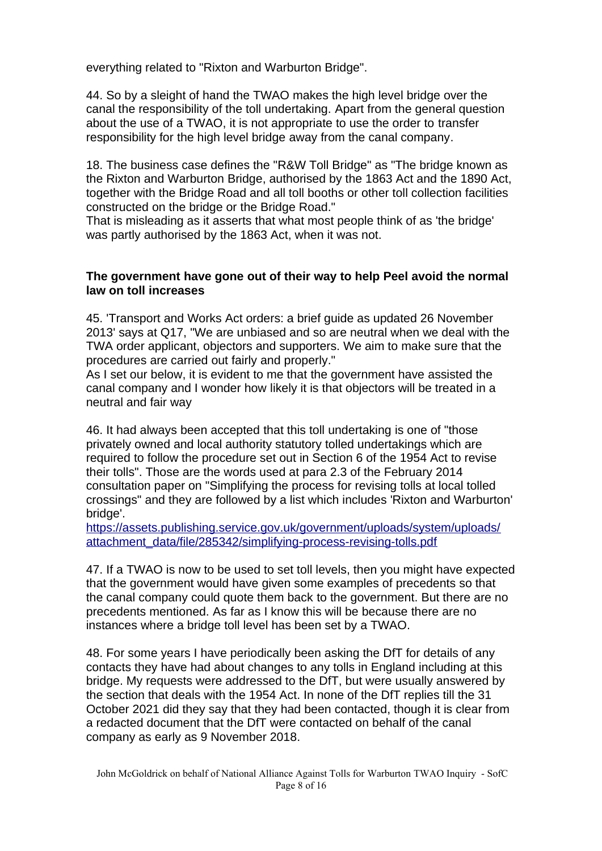everything related to "Rixton and Warburton Bridge".

44. So by a sleight of hand the TWAO makes the high level bridge over the canal the responsibility of the toll undertaking. Apart from the general question about the use of a TWAO, it is not appropriate to use the order to transfer responsibility for the high level bridge away from the canal company.

18. The business case defines the "R&W Toll Bridge" as "The bridge known as the Rixton and Warburton Bridge, authorised by the 1863 Act and the 1890 Act, together with the Bridge Road and all toll booths or other toll collection facilities constructed on the bridge or the Bridge Road."

That is misleading as it asserts that what most people think of as 'the bridge' was partly authorised by the 1863 Act, when it was not.

#### **The government have gone out of their way to help Peel avoid the normal law on toll increases**

45. 'Transport and Works Act orders: a brief guide as updated 26 November 2013' says at Q17, "We are unbiased and so are neutral when we deal with the TWA order applicant, objectors and supporters. We aim to make sure that the procedures are carried out fairly and properly."

As I set our below, it is evident to me that the government have assisted the canal company and I wonder how likely it is that objectors will be treated in a neutral and fair way

46. It had always been accepted that this toll undertaking is one of "those privately owned and local authority statutory tolled undertakings which are required to follow the procedure set out in Section 6 of the 1954 Act to revise their tolls". Those are the words used at para 2.3 of the February 2014 consultation paper on "Simplifying the process for revising tolls at local tolled crossings" and they are followed by a list which includes 'Rixton and Warburton' bridge'.

[https://assets.publishing.service.gov.uk/government/uploads/system/uploads/](https://assets.publishing.service.gov.uk/government/uploads/system/uploads/attachment_data/file/285342/simplifying-process-revising-tolls.pdf) [attachment\\_data/file/285342/simplifying-process-revising-tolls.pdf](https://assets.publishing.service.gov.uk/government/uploads/system/uploads/attachment_data/file/285342/simplifying-process-revising-tolls.pdf)

47. If a TWAO is now to be used to set toll levels, then you might have expected that the government would have given some examples of precedents so that the canal company could quote them back to the government. But there are no precedents mentioned. As far as I know this will be because there are no instances where a bridge toll level has been set by a TWAO.

48. For some years I have periodically been asking the DfT for details of any contacts they have had about changes to any tolls in England including at this bridge. My requests were addressed to the DfT, but were usually answered by the section that deals with the 1954 Act. In none of the DfT replies till the 31 October 2021 did they say that they had been contacted, though it is clear from a redacted document that the DfT were contacted on behalf of the canal company as early as 9 November 2018.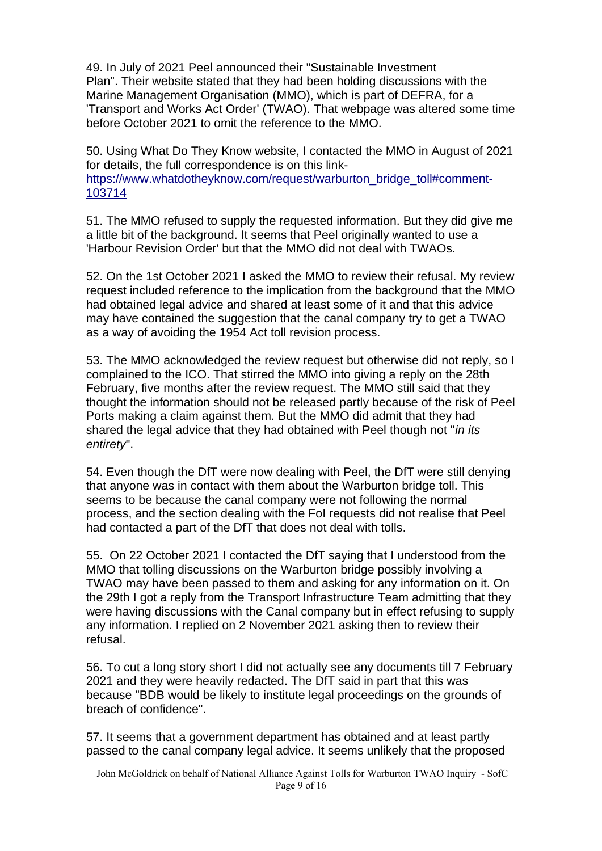49. In July of 2021 Peel announced their "Sustainable Investment Plan". Their website stated that they had been holding discussions with the Marine Management Organisation (MMO), which is part of DEFRA, for a 'Transport and Works Act Order' (TWAO). That webpage was altered some time before October 2021 to omit the reference to the MMO.

50. Using What Do They Know website, I contacted the MMO in August of 2021 for details, the full correspondence is on this link[https://www.whatdotheyknow.com/request/warburton\\_bridge\\_toll#comment-](https://www.whatdotheyknow.com/request/warburton_bridge_toll#comment-103714)[103714](https://www.whatdotheyknow.com/request/warburton_bridge_toll#comment-103714)

51. The MMO refused to supply the requested information. But they did give me a little bit of the background. It seems that Peel originally wanted to use a 'Harbour Revision Order' but that the MMO did not deal with TWAOs.

52. On the 1st October 2021 I asked the MMO to review their refusal. My review request included reference to the implication from the background that the MMO had obtained legal advice and shared at least some of it and that this advice may have contained the suggestion that the canal company try to get a TWAO as a way of avoiding the 1954 Act toll revision process.

53. The MMO acknowledged the review request but otherwise did not reply, so I complained to the ICO. That stirred the MMO into giving a reply on the 28th February, five months after the review request. The MMO still said that they thought the information should not be released partly because of the risk of Peel Ports making a claim against them. But the MMO did admit that they had shared the legal advice that they had obtained with Peel though not "*in its entirety*".

54. Even though the DfT were now dealing with Peel, the DfT were still denying that anyone was in contact with them about the Warburton bridge toll. This seems to be because the canal company were not following the normal process, and the section dealing with the FoI requests did not realise that Peel had contacted a part of the DfT that does not deal with tolls.

55. On 22 October 2021 I contacted the DfT saying that I understood from the MMO that tolling discussions on the Warburton bridge possibly involving a TWAO may have been passed to them and asking for any information on it. On the 29th I got a reply from the Transport Infrastructure Team admitting that they were having discussions with the Canal company but in effect refusing to supply any information. I replied on 2 November 2021 asking then to review their refusal.

56. To cut a long story short I did not actually see any documents till 7 February 2021 and they were heavily redacted. The DfT said in part that this was because "BDB would be likely to institute legal proceedings on the grounds of breach of confidence".

57. It seems that a government department has obtained and at least partly passed to the canal company legal advice. It seems unlikely that the proposed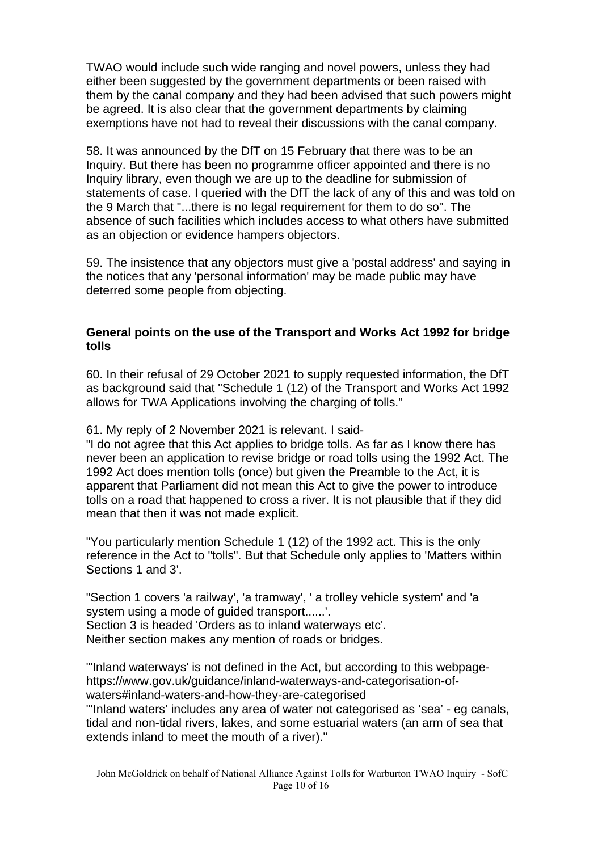TWAO would include such wide ranging and novel powers, unless they had either been suggested by the government departments or been raised with them by the canal company and they had been advised that such powers might be agreed. It is also clear that the government departments by claiming exemptions have not had to reveal their discussions with the canal company.

58. It was announced by the DfT on 15 February that there was to be an Inquiry. But there has been no programme officer appointed and there is no Inquiry library, even though we are up to the deadline for submission of statements of case. I queried with the DfT the lack of any of this and was told on the 9 March that "...there is no legal requirement for them to do so". The absence of such facilities which includes access to what others have submitted as an objection or evidence hampers objectors.

59. The insistence that any objectors must give a 'postal address' and saying in the notices that any 'personal information' may be made public may have deterred some people from objecting.

### **General points on the use of the Transport and Works Act 1992 for bridge tolls**

60. In their refusal of 29 October 2021 to supply requested information, the DfT as background said that "Schedule 1 (12) of the Transport and Works Act 1992 allows for TWA Applications involving the charging of tolls."

61. My reply of 2 November 2021 is relevant. I said-

"I do not agree that this Act applies to bridge tolls. As far as I know there has never been an application to revise bridge or road tolls using the 1992 Act. The 1992 Act does mention tolls (once) but given the Preamble to the Act, it is apparent that Parliament did not mean this Act to give the power to introduce tolls on a road that happened to cross a river. It is not plausible that if they did mean that then it was not made explicit.

"You particularly mention Schedule 1 (12) of the 1992 act. This is the only reference in the Act to "tolls". But that Schedule only applies to 'Matters within Sections 1 and 3'.

"Section 1 covers 'a railway', 'a tramway', ' a trolley vehicle system' and 'a system using a mode of guided transport......'. Section 3 is headed 'Orders as to inland waterways etc'. Neither section makes any mention of roads or bridges.

"'Inland waterways' is not defined in the Act, but according to this webpagehttps://www.gov.uk/guidance/inland-waterways-and-categorisation-ofwaters#inland-waters-and-how-they-are-categorised

"'Inland waters' includes any area of water not categorised as 'sea' - eg canals, tidal and non-tidal rivers, lakes, and some estuarial waters (an arm of sea that extends inland to meet the mouth of a river)."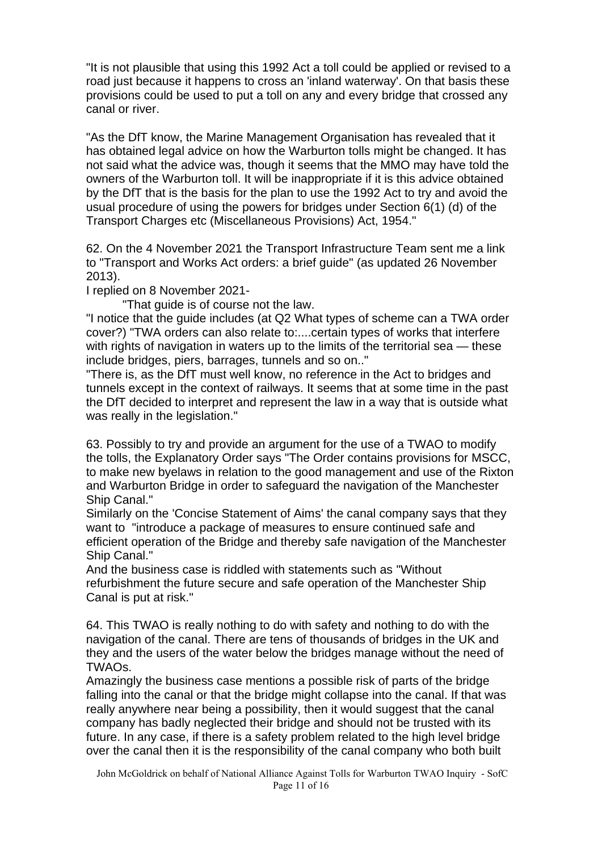"It is not plausible that using this 1992 Act a toll could be applied or revised to a road just because it happens to cross an 'inland waterway'. On that basis these provisions could be used to put a toll on any and every bridge that crossed any canal or river.

"As the DfT know, the Marine Management Organisation has revealed that it has obtained legal advice on how the Warburton tolls might be changed. It has not said what the advice was, though it seems that the MMO may have told the owners of the Warburton toll. It will be inappropriate if it is this advice obtained by the DfT that is the basis for the plan to use the 1992 Act to try and avoid the usual procedure of using the powers for bridges under Section 6(1) (d) of the Transport Charges etc (Miscellaneous Provisions) Act, 1954."

62. On the 4 November 2021 the Transport Infrastructure Team sent me a link to "Transport and Works Act orders: a brief guide" (as updated 26 November 2013).

I replied on 8 November 2021-

"That guide is of course not the law.

"I notice that the guide includes (at Q2 What types of scheme can a TWA order cover?) "TWA orders can also relate to:....certain types of works that interfere with rights of navigation in waters up to the limits of the territorial sea — these include bridges, piers, barrages, tunnels and so on.."

"There is, as the DfT must well know, no reference in the Act to bridges and tunnels except in the context of railways. It seems that at some time in the past the DfT decided to interpret and represent the law in a way that is outside what was really in the legislation."

63. Possibly to try and provide an argument for the use of a TWAO to modify the tolls, the Explanatory Order says "The Order contains provisions for MSCC, to make new byelaws in relation to the good management and use of the Rixton and Warburton Bridge in order to safeguard the navigation of the Manchester Ship Canal."

Similarly on the 'Concise Statement of Aims' the canal company says that they want to "introduce a package of measures to ensure continued safe and efficient operation of the Bridge and thereby safe navigation of the Manchester Ship Canal."

And the business case is riddled with statements such as "Without refurbishment the future secure and safe operation of the Manchester Ship Canal is put at risk."

64. This TWAO is really nothing to do with safety and nothing to do with the navigation of the canal. There are tens of thousands of bridges in the UK and they and the users of the water below the bridges manage without the need of TWAOs.

Amazingly the business case mentions a possible risk of parts of the bridge falling into the canal or that the bridge might collapse into the canal. If that was really anywhere near being a possibility, then it would suggest that the canal company has badly neglected their bridge and should not be trusted with its future. In any case, if there is a safety problem related to the high level bridge over the canal then it is the responsibility of the canal company who both built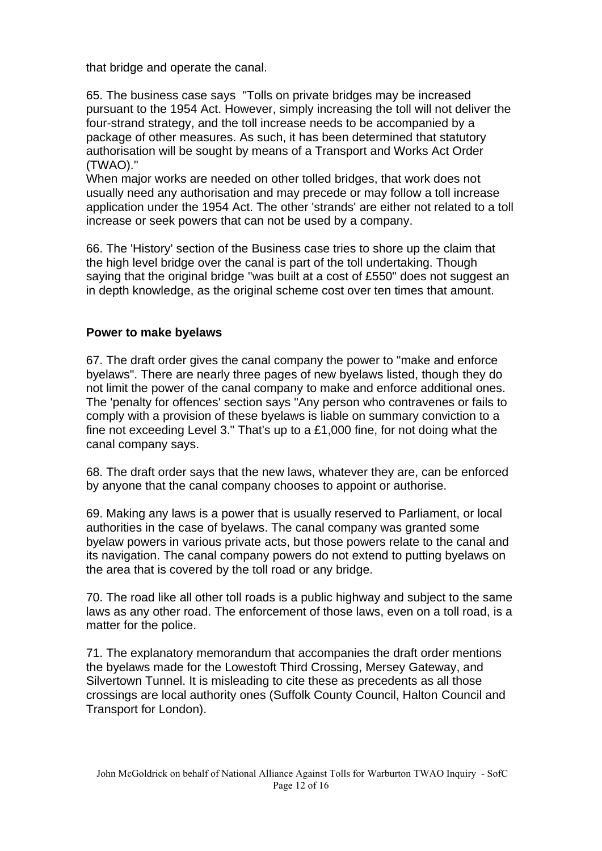that bridge and operate the canal.

65. The business case says "Tolls on private bridges may be increased pursuant to the 1954 Act. However, simply increasing the toll will not deliver the four-strand strategy, and the toll increase needs to be accompanied by a package of other measures. As such, it has been determined that statutory authorisation will be sought by means of a Transport and Works Act Order (TWAO)."

When major works are needed on other tolled bridges, that work does not usually need any authorisation and may precede or may follow a toll increase application under the 1954 Act. The other 'strands' are either not related to a toll increase or seek powers that can not be used by a company.

66. The 'History' section of the Business case tries to shore up the claim that the high level bridge over the canal is part of the toll undertaking. Though saying that the original bridge "was built at a cost of £550" does not suggest an in depth knowledge, as the original scheme cost over ten times that amount.

# **Power to make byelaws**

67. The draft order gives the canal company the power to "make and enforce byelaws". There are nearly three pages of new byelaws listed, though they do not limit the power of the canal company to make and enforce additional ones. The 'penalty for offences' section says "Any person who contravenes or fails to comply with a provision of these byelaws is liable on summary conviction to a fine not exceeding Level 3." That's up to a £1,000 fine, for not doing what the canal company says.

68. The draft order says that the new laws, whatever they are, can be enforced by anyone that the canal company chooses to appoint or authorise.

69. Making any laws is a power that is usually reserved to Parliament, or local authorities in the case of byelaws. The canal company was granted some byelaw powers in various private acts, but those powers relate to the canal and its navigation. The canal company powers do not extend to putting byelaws on the area that is covered by the toll road or any bridge.

70. The road like all other toll roads is a public highway and subject to the same laws as any other road. The enforcement of those laws, even on a toll road, is a matter for the police.

71. The explanatory memorandum that accompanies the draft order mentions the byelaws made for the Lowestoft Third Crossing, Mersey Gateway, and Silvertown Tunnel. It is misleading to cite these as precedents as all those crossings are local authority ones (Suffolk County Council, Halton Council and Transport for London).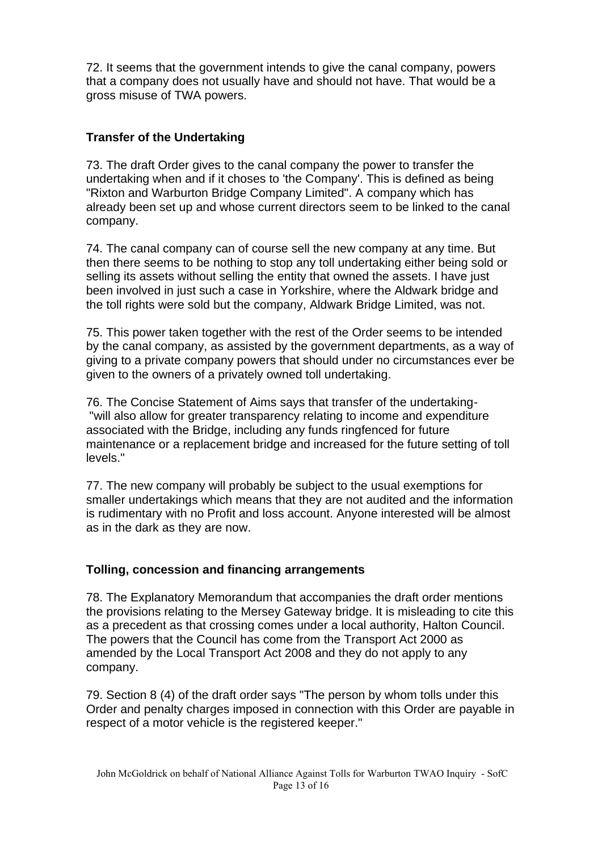72. It seems that the government intends to give the canal company, powers that a company does not usually have and should not have. That would be a gross misuse of TWA powers.

# **Transfer of the Undertaking**

73. The draft Order gives to the canal company the power to transfer the undertaking when and if it choses to 'the Company'. This is defined as being "Rixton and Warburton Bridge Company Limited". A company which has already been set up and whose current directors seem to be linked to the canal company.

74. The canal company can of course sell the new company at any time. But then there seems to be nothing to stop any toll undertaking either being sold or selling its assets without selling the entity that owned the assets. I have just been involved in just such a case in Yorkshire, where the Aldwark bridge and the toll rights were sold but the company, Aldwark Bridge Limited, was not.

75. This power taken together with the rest of the Order seems to be intended by the canal company, as assisted by the government departments, as a way of giving to a private company powers that should under no circumstances ever be given to the owners of a privately owned toll undertaking.

76. The Concise Statement of Aims says that transfer of the undertaking- "will also allow for greater transparency relating to income and expenditure associated with the Bridge, including any funds ringfenced for future maintenance or a replacement bridge and increased for the future setting of toll levels."

77. The new company will probably be subject to the usual exemptions for smaller undertakings which means that they are not audited and the information is rudimentary with no Profit and loss account. Anyone interested will be almost as in the dark as they are now.

### **Tolling, concession and financing arrangements**

78. The Explanatory Memorandum that accompanies the draft order mentions the provisions relating to the Mersey Gateway bridge. It is misleading to cite this as a precedent as that crossing comes under a local authority, Halton Council. The powers that the Council has come from the Transport Act 2000 as amended by the Local Transport Act 2008 and they do not apply to any company.

79. Section 8 (4) of the draft order says "The person by whom tolls under this Order and penalty charges imposed in connection with this Order are payable in respect of a motor vehicle is the registered keeper."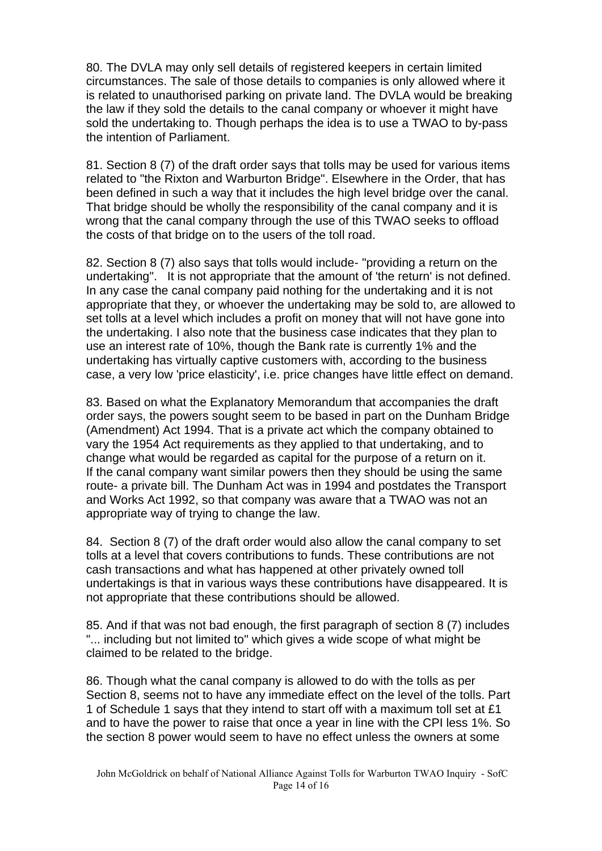80. The DVLA may only sell details of registered keepers in certain limited circumstances. The sale of those details to companies is only allowed where it is related to unauthorised parking on private land. The DVLA would be breaking the law if they sold the details to the canal company or whoever it might have sold the undertaking to. Though perhaps the idea is to use a TWAO to by-pass the intention of Parliament.

81. Section 8 (7) of the draft order says that tolls may be used for various items related to "the Rixton and Warburton Bridge". Elsewhere in the Order, that has been defined in such a way that it includes the high level bridge over the canal. That bridge should be wholly the responsibility of the canal company and it is wrong that the canal company through the use of this TWAO seeks to offload the costs of that bridge on to the users of the toll road.

82. Section 8 (7) also says that tolls would include- "providing a return on the undertaking". It is not appropriate that the amount of 'the return' is not defined. In any case the canal company paid nothing for the undertaking and it is not appropriate that they, or whoever the undertaking may be sold to, are allowed to set tolls at a level which includes a profit on money that will not have gone into the undertaking. I also note that the business case indicates that they plan to use an interest rate of 10%, though the Bank rate is currently 1% and the undertaking has virtually captive customers with, according to the business case, a very low 'price elasticity', i.e. price changes have little effect on demand.

83. Based on what the Explanatory Memorandum that accompanies the draft order says, the powers sought seem to be based in part on the Dunham Bridge (Amendment) Act 1994. That is a private act which the company obtained to vary the 1954 Act requirements as they applied to that undertaking, and to change what would be regarded as capital for the purpose of a return on it. If the canal company want similar powers then they should be using the same route- a private bill. The Dunham Act was in 1994 and postdates the Transport and Works Act 1992, so that company was aware that a TWAO was not an appropriate way of trying to change the law.

84. Section 8 (7) of the draft order would also allow the canal company to set tolls at a level that covers contributions to funds. These contributions are not cash transactions and what has happened at other privately owned toll undertakings is that in various ways these contributions have disappeared. It is not appropriate that these contributions should be allowed.

85. And if that was not bad enough, the first paragraph of section 8 (7) includes "... including but not limited to" which gives a wide scope of what might be claimed to be related to the bridge.

86. Though what the canal company is allowed to do with the tolls as per Section 8, seems not to have any immediate effect on the level of the tolls. Part 1 of Schedule 1 says that they intend to start off with a maximum toll set at £1 and to have the power to raise that once a year in line with the CPI less 1%. So the section 8 power would seem to have no effect unless the owners at some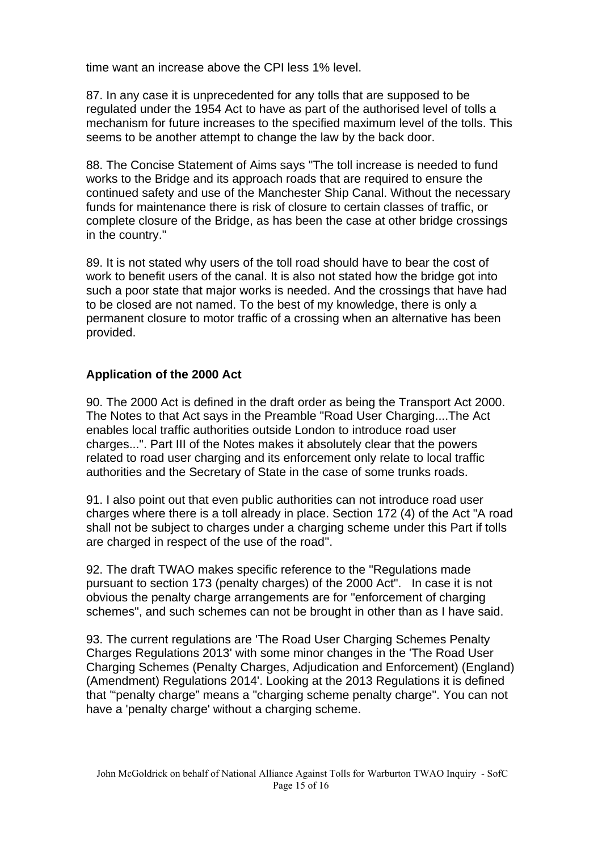time want an increase above the CPI less 1% level.

87. In any case it is unprecedented for any tolls that are supposed to be regulated under the 1954 Act to have as part of the authorised level of tolls a mechanism for future increases to the specified maximum level of the tolls. This seems to be another attempt to change the law by the back door.

88. The Concise Statement of Aims says "The toll increase is needed to fund works to the Bridge and its approach roads that are required to ensure the continued safety and use of the Manchester Ship Canal. Without the necessary funds for maintenance there is risk of closure to certain classes of traffic, or complete closure of the Bridge, as has been the case at other bridge crossings in the country."

89. It is not stated why users of the toll road should have to bear the cost of work to benefit users of the canal. It is also not stated how the bridge got into such a poor state that major works is needed. And the crossings that have had to be closed are not named. To the best of my knowledge, there is only a permanent closure to motor traffic of a crossing when an alternative has been provided.

# **Application of the 2000 Act**

90. The 2000 Act is defined in the draft order as being the Transport Act 2000. The Notes to that Act says in the Preamble "Road User Charging....The Act enables local traffic authorities outside London to introduce road user charges...". Part III of the Notes makes it absolutely clear that the powers related to road user charging and its enforcement only relate to local traffic authorities and the Secretary of State in the case of some trunks roads.

91. I also point out that even public authorities can not introduce road user charges where there is a toll already in place. Section 172 (4) of the Act "A road shall not be subject to charges under a charging scheme under this Part if tolls are charged in respect of the use of the road".

92. The draft TWAO makes specific reference to the "Regulations made pursuant to section 173 (penalty charges) of the 2000 Act". In case it is not obvious the penalty charge arrangements are for "enforcement of charging schemes", and such schemes can not be brought in other than as I have said.

93. The current regulations are 'The Road User Charging Schemes Penalty Charges Regulations 2013' with some minor changes in the 'The Road User Charging Schemes (Penalty Charges, Adjudication and Enforcement) (England) (Amendment) Regulations 2014'. Looking at the 2013 Regulations it is defined that '"penalty charge" means a "charging scheme penalty charge". You can not have a 'penalty charge' without a charging scheme.